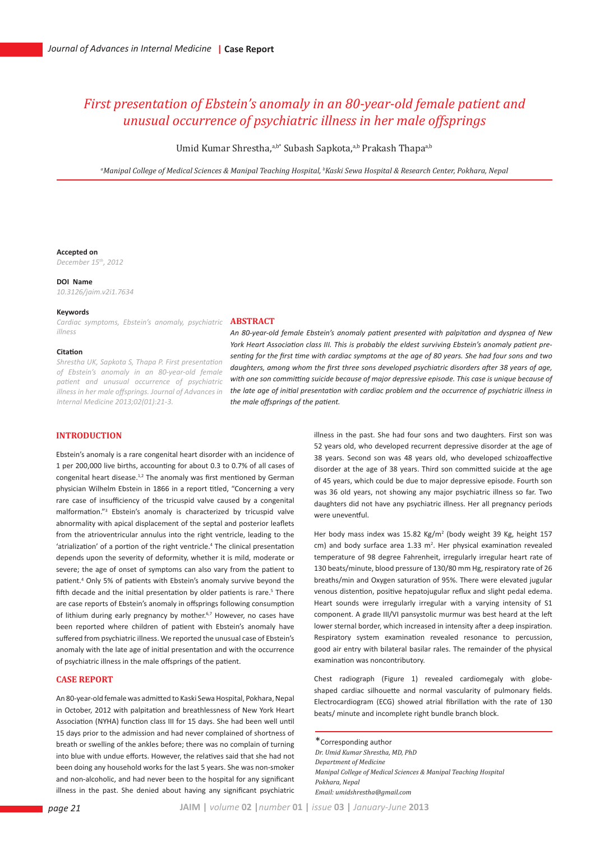# *First presentation of Ebstein's anomaly in an 80-year-old female patient and unusual occurrence of psychiatric illness in her male offsprings*

Umid Kumar Shrestha,<sup>a,b\*</sup> Subash Sapkota,<sup>a,b</sup> Prakash Thapa<sup>a,b</sup>

*a Manipal College of Medical Sciences & Manipal Teaching Hospital, b Kaski Sewa Hospital & Research Center, Pokhara, Nepal*

### **Accepted on**

*December 15th, 2012*

### **DOI Name**

*10.3126/jaim.v2i1.7634*

# **Keywords**

*Cardiac symptoms, Ebstein's anomaly, psychiatric illness* 

#### **Citation**

*Shrestha UK, Sapkota S, Thapa P. First presentation of Ebstein's anomaly in an 80-year-old female patient and unusual occurrence of psychiatric illness in her male offsprings. Journal of Advances in Internal Medicine 2013;02(01):21-3.*

## **ABSTRACT**

*An 80-year-old female Ebstein's anomaly patient presented with palpitation and dyspnea of New York Heart Association class III. This is probably the eldest surviving Ebstein's anomaly patient presenting for the first time with cardiac symptoms at the age of 80 years. She had four sons and two daughters, among whom the first three sons developed psychiatric disorders after 38 years of age, with one son committing suicide because of major depressive episode. This case is unique because of the late age of initial presentation with cardiac problem and the occurrence of psychiatric illness in the male offsprings of the patient.*

# **INTRODUCTION**

Ebstein's anomaly is a rare congenital heart disorder with an incidence of 1 per 200,000 live births, accounting for about 0.3 to 0.7% of all cases of congenital heart disease.<sup>1,2</sup> The anomaly was first mentioned by German physician Wilhelm Ebstein in 1866 in a report titled, "Concerning a very rare case of insufficiency of the tricuspid valve caused by a congenital malformation."3 Ebstein's anomaly is characterized by tricuspid valve abnormality with apical displacement of the septal and posterior leaflets from the atrioventricular annulus into the right ventricle, leading to the 'atrialization' of a portion of the right ventricle.<sup>4</sup> The clinical presentation depends upon the severity of deformity, whether it is mild, moderate or severe; the age of onset of symptoms can also vary from the patient to patient.4 Only 5% of patients with Ebstein's anomaly survive beyond the fifth decade and the initial presentation by older patients is rare.<sup>5</sup> There are case reports of Ebstein's anomaly in offsprings following consumption of lithium during early pregnancy by mother.<sup>6,7</sup> However, no cases have been reported where children of patient with Ebstein's anomaly have suffered from psychiatric illness. We reported the unusual case of Ebstein's anomaly with the late age of initial presentation and with the occurrence of psychiatric illness in the male offsprings of the patient.

### **CASE REPORT**

An 80-year-old female was admitted to Kaski Sewa Hospital, Pokhara, Nepal in October, 2012 with palpitation and breathlessness of New York Heart Association (NYHA) function class III for 15 days. She had been well until 15 days prior to the admission and had never complained of shortness of breath or swelling of the ankles before; there was no complain of turning into blue with undue efforts. However, the relatives said that she had not been doing any household works for the last 5 years. She was non-smoker and non-alcoholic, and had never been to the hospital for any significant illness in the past. She denied about having any significant psychiatric illness in the past. She had four sons and two daughters. First son was 52 years old, who developed recurrent depressive disorder at the age of 38 years. Second son was 48 years old, who developed schizoaffective disorder at the age of 38 years. Third son committed suicide at the age of 45 years, which could be due to major depressive episode. Fourth son was 36 old years, not showing any major psychiatric illness so far. Two daughters did not have any psychiatric illness. Her all pregnancy periods were uneventful.

Her body mass index was 15.82 Kg/m<sup>2</sup> (body weight 39 Kg, height 157 cm) and body surface area 1.33 m<sup>2</sup>. Her physical examination revealed temperature of 98 degree Fahrenheit, irregularly irregular heart rate of 130 beats/minute, blood pressure of 130/80 mm Hg, respiratory rate of 26 breaths/min and Oxygen saturation of 95%. There were elevated jugular venous distention, positive hepatojugular reflux and slight pedal edema. Heart sounds were irregularly irregular with a varying intensity of S1 component. A grade III/VI pansystolic murmur was best heard at the left lower sternal border, which increased in intensity after a deep inspiration. Respiratory system examination revealed resonance to percussion, good air entry with bilateral basilar rales. The remainder of the physical examination was noncontributory.

Chest radiograph (Figure 1) revealed cardiomegaly with globeshaped cardiac silhouette and normal vascularity of pulmonary fields. Electrocardiogram (ECG) showed atrial fibrillation with the rate of 130 beats/ minute and incomplete right bundle branch block.

\*Corresponding author *Dr. Umid Kumar Shrestha, MD, PhD Department of Medicine Manipal College of Medical Sciences & Manipal Teaching Hospital Pokhara, Nepal Email: umidshrestha@gmail.com*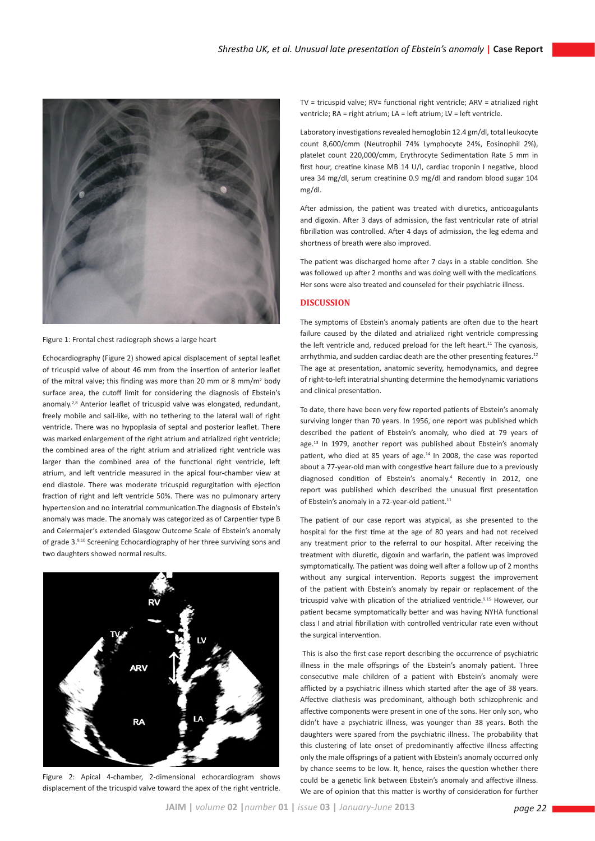

Figure 1: Frontal chest radiograph shows a large heart

Echocardiography (Figure 2) showed apical displacement of septal leaflet of tricuspid valve of about 46 mm from the insertion of anterior leaflet of the mitral valve; this finding was more than 20 mm or 8 mm/m<sup>2</sup> body surface area, the cutoff limit for considering the diagnosis of Ebstein's anomaly.<sup>2,8</sup> Anterior leaflet of tricuspid valve was elongated, redundant, freely mobile and sail-like, with no tethering to the lateral wall of right ventricle. There was no hypoplasia of septal and posterior leaflet. There was marked enlargement of the right atrium and atrialized right ventricle; the combined area of the right atrium and atrialized right ventricle was larger than the combined area of the functional right ventricle, left atrium, and left ventricle measured in the apical four-chamber view at end diastole. There was moderate tricuspid regurgitation with ejection fraction of right and left ventricle 50%. There was no pulmonary artery hypertension and no interatrial communication.The diagnosis of Ebstein's anomaly was made. The anomaly was categorized as of Carpentier type B and Celermajer's extended Glasgow Outcome Scale of Ebstein's anomaly of grade 3.9,10 Screening Echocardiography of her three surviving sons and two daughters showed normal results.



Figure 2: Apical 4-chamber, 2-dimensional echocardiogram shows displacement of the tricuspid valve toward the apex of the right ventricle.

TV = tricuspid valve; RV= functional right ventricle; ARV = atrialized right ventricle; RA = right atrium; LA = left atrium; LV = left ventricle.

Laboratory investigations revealed hemoglobin 12.4 gm/dl, total leukocyte count 8,600/cmm (Neutrophil 74% Lymphocyte 24%, Eosinophil 2%), platelet count 220,000/cmm, Erythrocyte Sedimentation Rate 5 mm in first hour, creatine kinase MB 14 U/l, cardiac troponin I negative, blood urea 34 mg/dl, serum creatinine 0.9 mg/dl and random blood sugar 104 mg/dl.

After admission, the patient was treated with diuretics, anticoagulants and digoxin. After 3 days of admission, the fast ventricular rate of atrial fibrillation was controlled. After 4 days of admission, the leg edema and shortness of breath were also improved.

The patient was discharged home after 7 days in a stable condition. She was followed up after 2 months and was doing well with the medications. Her sons were also treated and counseled for their psychiatric illness.

# **DISCUSSION**

The symptoms of Ebstein's anomaly patients are often due to the heart failure caused by the dilated and atrialized right ventricle compressing the left ventricle and, reduced preload for the left heart.<sup>11</sup> The cyanosis, arrhythmia, and sudden cardiac death are the other presenting features.<sup>12</sup> The age at presentation, anatomic severity, hemodynamics, and degree of right-to-left interatrial shunting determine the hemodynamic variations and clinical presentation.

To date, there have been very few reported patients of Ebstein's anomaly surviving longer than 70 years. In 1956, one report was published which described the patient of Ebstein's anomaly, who died at 79 years of age.<sup>13</sup> In 1979, another report was published about Ebstein's anomaly patient, who died at 85 years of age.<sup>14</sup> In 2008, the case was reported about a 77-year-old man with congestive heart failure due to a previously diagnosed condition of Ebstein's anomaly.4 Recently in 2012, one report was published which described the unusual first presentation of Ebstein's anomaly in a 72-year-old patient.<sup>11</sup>

The patient of our case report was atypical, as she presented to the hospital for the first time at the age of 80 years and had not received any treatment prior to the referral to our hospital. After receiving the treatment with diuretic, digoxin and warfarin, the patient was improved symptomatically. The patient was doing well after a follow up of 2 months without any surgical intervention. Reports suggest the improvement of the patient with Ebstein's anomaly by repair or replacement of the tricuspid valve with plication of the atrialized ventricle.<sup>9,15</sup> However, our patient became symptomatically better and was having NYHA functional class I and atrial fibrillation with controlled ventricular rate even without the surgical intervention.

 This is also the first case report describing the occurrence of psychiatric illness in the male offsprings of the Ebstein's anomaly patient. Three consecutive male children of a patient with Ebstein's anomaly were afflicted by a psychiatric illness which started after the age of 38 years. Affective diathesis was predominant, although both schizophrenic and affective components were present in one of the sons. Her only son, who didn't have a psychiatric illness, was younger than 38 years. Both the daughters were spared from the psychiatric illness. The probability that this clustering of late onset of predominantly affective illness affecting only the male offsprings of a patient with Ebstein's anomaly occurred only by chance seems to be low. It, hence, raises the question whether there could be a genetic link between Ebstein's anomaly and affective illness. We are of opinion that this matter is worthy of consideration for further